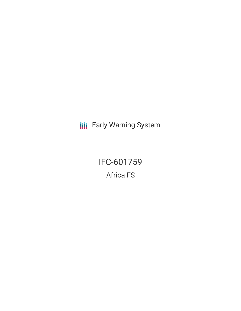**III** Early Warning System

IFC-601759 Africa FS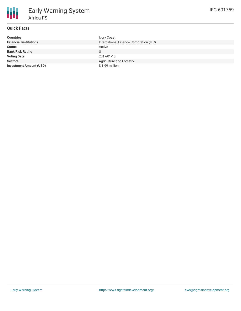# **Quick Facts**

| <b>Countries</b>               | Ivory Coast                             |
|--------------------------------|-----------------------------------------|
| <b>Financial Institutions</b>  | International Finance Corporation (IFC) |
| <b>Status</b>                  | Active                                  |
| <b>Bank Risk Rating</b>        | U                                       |
| <b>Voting Date</b>             | 2017-01-10                              |
| <b>Sectors</b>                 | <b>Agriculture and Forestry</b>         |
| <b>Investment Amount (USD)</b> | \$1.99 million                          |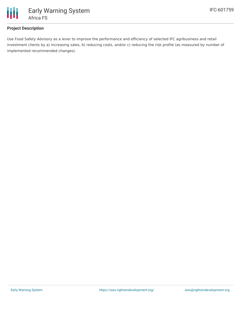

## **Project Description**

Use Food Safety Advisory as a lever to improve the performance and efficiency of selected IFC agribusiness and retail investment clients by a) increasing sales, b) reducing costs, and/or c) reducing the risk profile (as measured by number of implemented recommended changes).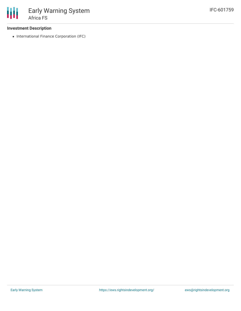

### **Investment Description**

• International Finance Corporation (IFC)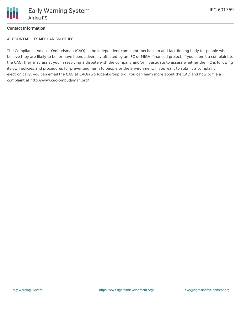

### **Contact Information**

ACCOUNTABILITY MECHANISM OF IFC

The Compliance Advisor Ombudsman (CAO) is the independent complaint mechanism and fact-finding body for people who believe they are likely to be, or have been, adversely affected by an IFC or MIGA- financed project. If you submit a complaint to the CAO, they may assist you in resolving a dispute with the company and/or investigate to assess whether the IFC is following its own policies and procedures for preventing harm to people or the environment. If you want to submit a complaint electronically, you can email the CAO at CAO@worldbankgroup.org. You can learn more about the CAO and how to file a complaint at http://www.cao-ombudsman.org/